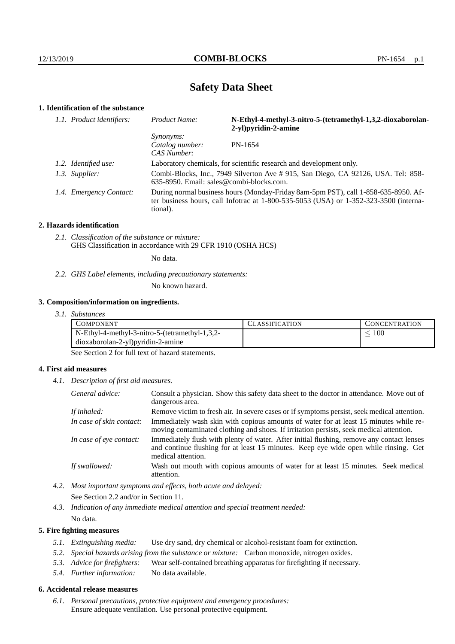# **Safety Data Sheet**

# **1. Identification of the substance**

| 1.1. Product identifiers: | Product Name:                                                                                                                                                                           | N-Ethyl-4-methyl-3-nitro-5-(tetramethyl-1,3,2-dioxaborolan-<br>2-yl) pyridin-2-amine |
|---------------------------|-----------------------------------------------------------------------------------------------------------------------------------------------------------------------------------------|--------------------------------------------------------------------------------------|
|                           | <i>Synonyms:</i><br>Catalog number:<br>CAS Number:                                                                                                                                      | PN-1654                                                                              |
| 1.2. Identified use:      | Laboratory chemicals, for scientific research and development only.                                                                                                                     |                                                                                      |
| 1.3. Supplier:            | Combi-Blocks, Inc., 7949 Silverton Ave #915, San Diego, CA 92126, USA. Tel: 858-<br>635-8950. Email: sales@combi-blocks.com.                                                            |                                                                                      |
| 1.4. Emergency Contact:   | During normal business hours (Monday-Friday 8am-5pm PST), call 1-858-635-8950. Af-<br>ter business hours, call Infotrac at 1-800-535-5053 (USA) or 1-352-323-3500 (interna-<br>tional). |                                                                                      |

#### **2. Hazards identification**

*2.1. Classification of the substance or mixture:* GHS Classification in accordance with 29 CFR 1910 (OSHA HCS)

No data.

*2.2. GHS Label elements, including precautionary statements:*

No known hazard.

#### **3. Composition/information on ingredients.**

| 3. I.<br><i>Substances</i> |  |
|----------------------------|--|
|----------------------------|--|

| COMPONENT                                         | <b>CLASSIFICATION</b> | <b>CONCENTRATION</b> |
|---------------------------------------------------|-----------------------|----------------------|
| $N$ -Ethyl-4-methyl-3-nitro-5-(tetramethyl-1,3,2- |                       | 100                  |
| $dioxaborolan-2-yl)pyridin-2-amine$               |                       |                      |

See Section 2 for full text of hazard statements.

## **4. First aid measures**

*4.1. Description of first aid measures.*

| General advice:          | Consult a physician. Show this safety data sheet to the doctor in attendance. Move out of<br>dangerous area.                                                                                            |
|--------------------------|---------------------------------------------------------------------------------------------------------------------------------------------------------------------------------------------------------|
| If inhaled:              | Remove victim to fresh air. In severe cases or if symptoms persist, seek medical attention.                                                                                                             |
| In case of skin contact: | Immediately wash skin with copious amounts of water for at least 15 minutes while re-<br>moving contaminated clothing and shoes. If irritation persists, seek medical attention.                        |
| In case of eye contact:  | Immediately flush with plenty of water. After initial flushing, remove any contact lenses<br>and continue flushing for at least 15 minutes. Keep eye wide open while rinsing. Get<br>medical attention. |
| If swallowed:            | Wash out mouth with copious amounts of water for at least 15 minutes. Seek medical<br>attention.                                                                                                        |

*4.2. Most important symptoms and effects, both acute and delayed:* See Section 2.2 and/or in Section 11.

*4.3. Indication of any immediate medical attention and special treatment needed:* No data.

## **5. Fire fighting measures**

- *5.1. Extinguishing media:* Use dry sand, dry chemical or alcohol-resistant foam for extinction.
- *5.2. Special hazards arising from the substance or mixture:* Carbon monoxide, nitrogen oxides.
- *5.3. Advice for firefighters:* Wear self-contained breathing apparatus for firefighting if necessary.
- *5.4. Further information:* No data available.

# **6. Accidental release measures**

*6.1. Personal precautions, protective equipment and emergency procedures:* Ensure adequate ventilation. Use personal protective equipment.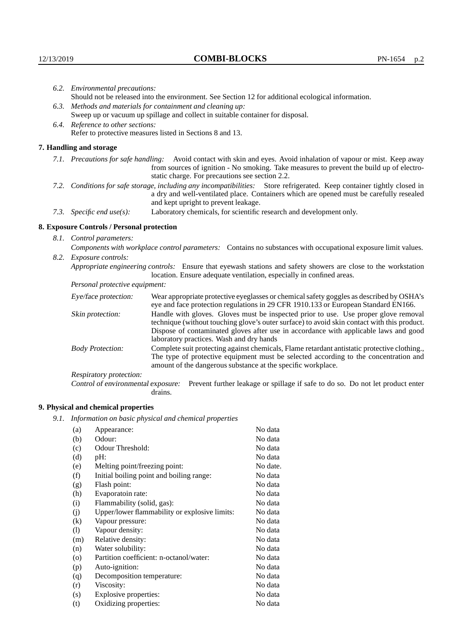|                                                                                                               | 6.2. Environmental precautions:                                                                                                                                                                                                                                    |                                                                                                                                                                                        |  |  |
|---------------------------------------------------------------------------------------------------------------|--------------------------------------------------------------------------------------------------------------------------------------------------------------------------------------------------------------------------------------------------------------------|----------------------------------------------------------------------------------------------------------------------------------------------------------------------------------------|--|--|
|                                                                                                               | Should not be released into the environment. See Section 12 for additional ecological information.                                                                                                                                                                 |                                                                                                                                                                                        |  |  |
|                                                                                                               | 6.3. Methods and materials for containment and cleaning up:                                                                                                                                                                                                        |                                                                                                                                                                                        |  |  |
|                                                                                                               | Sweep up or vacuum up spillage and collect in suitable container for disposal.                                                                                                                                                                                     |                                                                                                                                                                                        |  |  |
| 6.4. Reference to other sections:                                                                             |                                                                                                                                                                                                                                                                    |                                                                                                                                                                                        |  |  |
|                                                                                                               |                                                                                                                                                                                                                                                                    | Refer to protective measures listed in Sections 8 and 13.                                                                                                                              |  |  |
|                                                                                                               | 7. Handling and storage                                                                                                                                                                                                                                            |                                                                                                                                                                                        |  |  |
|                                                                                                               | 7.1. Precautions for safe handling: Avoid contact with skin and eyes. Avoid inhalation of vapour or mist. Keep away<br>from sources of ignition - No smoking. Take measures to prevent the build up of electro-<br>static charge. For precautions see section 2.2. |                                                                                                                                                                                        |  |  |
|                                                                                                               | 7.2. Conditions for safe storage, including any incompatibilities: Store refrigerated. Keep container tightly closed in<br>a dry and well-ventilated place. Containers which are opened must be carefully resealed<br>and kept upright to prevent leakage.         |                                                                                                                                                                                        |  |  |
|                                                                                                               | 7.3. Specific end use(s):                                                                                                                                                                                                                                          | Laboratory chemicals, for scientific research and development only.                                                                                                                    |  |  |
|                                                                                                               | 8. Exposure Controls / Personal protection                                                                                                                                                                                                                         |                                                                                                                                                                                        |  |  |
|                                                                                                               | 8.1. Control parameters:                                                                                                                                                                                                                                           |                                                                                                                                                                                        |  |  |
| Components with workplace control parameters: Contains no substances with occupational exposure limit values. |                                                                                                                                                                                                                                                                    |                                                                                                                                                                                        |  |  |
|                                                                                                               | 8.2. Exposure controls:                                                                                                                                                                                                                                            |                                                                                                                                                                                        |  |  |
|                                                                                                               |                                                                                                                                                                                                                                                                    | Appropriate engineering controls: Ensure that eyewash stations and safety showers are close to the workstation<br>location. Ensure adequate ventilation, especially in confined areas. |  |  |
|                                                                                                               | Personal protective equipment:                                                                                                                                                                                                                                     |                                                                                                                                                                                        |  |  |
|                                                                                                               | Eye/face protection:                                                                                                                                                                                                                                               | Wear appropriate protective eyeglasses or chemical safety goggles as described by OSHA's<br>eye and face protection regulations in 29 CFR 1910.133 or European Standard EN166.         |  |  |
|                                                                                                               | Skin protection:                                                                                                                                                                                                                                                   | Handle with gloves. Gloves must be inspected prior to use. Use proper glove removal<br>technique (without touching glove's outer surface) to avoid skin contact with this product.     |  |  |

| Eye/face protection:                                                                                                                                                                                                                                                           | Wear appropriate protective eyeglasses or chemical safety goggles as described by OSHA's<br>eye and face protection regulations in 29 CFR 1910.133 or European Standard EN166.                                                                                                                                         |  |  |
|--------------------------------------------------------------------------------------------------------------------------------------------------------------------------------------------------------------------------------------------------------------------------------|------------------------------------------------------------------------------------------------------------------------------------------------------------------------------------------------------------------------------------------------------------------------------------------------------------------------|--|--|
| Skin protection:                                                                                                                                                                                                                                                               | Handle with gloves. Gloves must be inspected prior to use. Use proper glove removal<br>technique (without touching glove's outer surface) to avoid skin contact with this product.<br>Dispose of contaminated gloves after use in accordance with applicable laws and good<br>laboratory practices. Wash and dry hands |  |  |
| Complete suit protecting against chemicals, Flame retardant antistatic protective clothing.<br><b>Body Protection:</b><br>The type of protective equipment must be selected according to the concentration and<br>amount of the dangerous substance at the specific workplace. |                                                                                                                                                                                                                                                                                                                        |  |  |
| Respiratory protection:                                                                                                                                                                                                                                                        |                                                                                                                                                                                                                                                                                                                        |  |  |
| Control of environmental exposure:                                                                                                                                                                                                                                             | Prevent further leakage or spillage if safe to do so. Do not let product enter<br>drains.                                                                                                                                                                                                                              |  |  |

# **9. Physical and chemical properties**

*9.1. Information on basic physical and chemical properties*

| (a)                        | Appearance:                                   | No data  |
|----------------------------|-----------------------------------------------|----------|
| (b)                        | Odour:                                        | No data  |
| (c)                        | Odour Threshold:                              | No data  |
| (d)                        | pH:                                           | No data  |
| (e)                        | Melting point/freezing point:                 | No date. |
| (f)                        | Initial boiling point and boiling range:      | No data  |
| (g)                        | Flash point:                                  | No data  |
| (h)                        | Evaporatoin rate:                             | No data  |
| (i)                        | Flammability (solid, gas):                    | No data  |
| (j)                        | Upper/lower flammability or explosive limits: | No data  |
| $\rm(k)$                   | Vapour pressure:                              | No data  |
| $\left( \mathrm{l}\right)$ | Vapour density:                               | No data  |
| (m)                        | Relative density:                             | No data  |
| (n)                        | Water solubility:                             | No data  |
| $\circ$                    | Partition coefficient: n-octanol/water:       | No data  |
| (p)                        | Auto-ignition:                                | No data  |
| (q)                        | Decomposition temperature:                    | No data  |
| (r)                        | Viscosity:                                    | No data  |
| (s)                        | Explosive properties:                         | No data  |
| (t)                        | Oxidizing properties:                         | No data  |